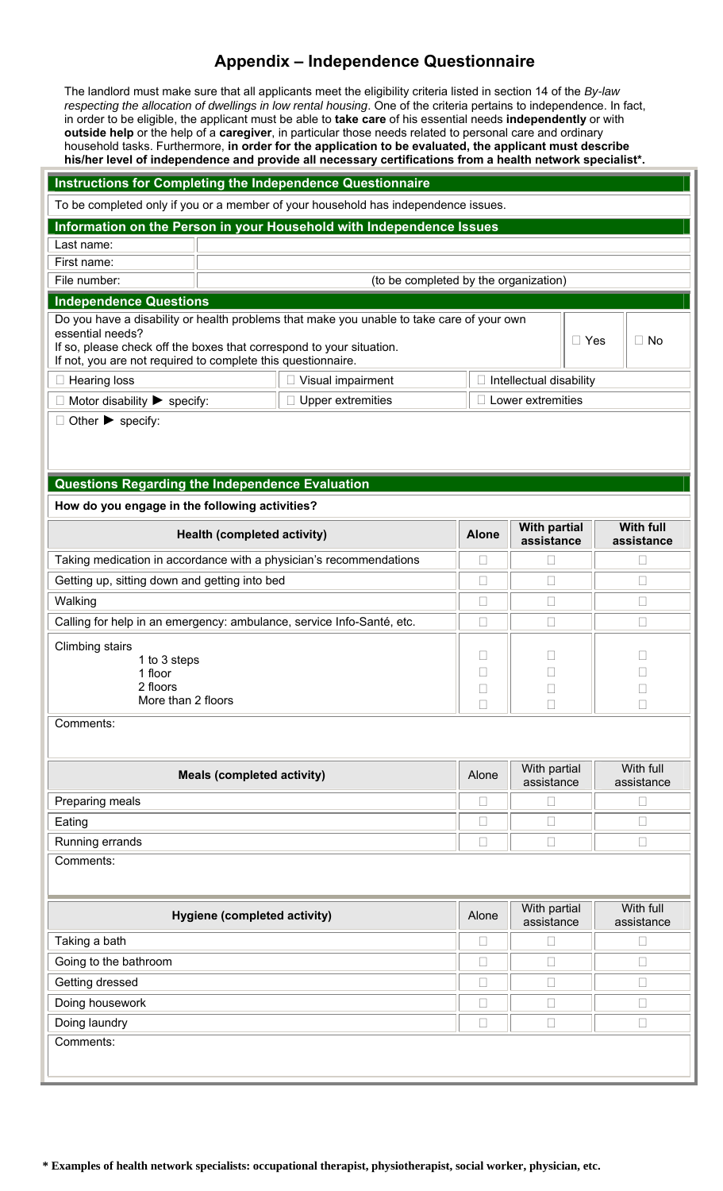## **Appendix – Independence Questionnaire**

The landlord must make sure that all applicants meet the eligibility criteria listed in section 14 of the *By-law respecting the allocation of dwellings in low rental housing*. One of the criteria pertains to independence. In fact, in order to be eligible, the applicant must be able to **take care** of his essential needs **independently** or with **outside help** or the help of a **caregiver**, in particular those needs related to personal care and ordinary household tasks. Furthermore, **in order for the application to be evaluated, the applicant must describe his/her level of independence and provide all necessary certifications from a health network specialist\*.**

| <b>Instructions for Completing the Independence Questionnaire</b>                                                                                                                                                                                     |                                                     |                                                                       |  |              |                                   |            |              |                                |  |  |  |  |
|-------------------------------------------------------------------------------------------------------------------------------------------------------------------------------------------------------------------------------------------------------|-----------------------------------------------------|-----------------------------------------------------------------------|--|--------------|-----------------------------------|------------|--------------|--------------------------------|--|--|--|--|
| To be completed only if you or a member of your household has independence issues.                                                                                                                                                                    |                                                     |                                                                       |  |              |                                   |            |              |                                |  |  |  |  |
| Information on the Person in your Household with Independence Issues                                                                                                                                                                                  |                                                     |                                                                       |  |              |                                   |            |              |                                |  |  |  |  |
| Last name:                                                                                                                                                                                                                                            |                                                     |                                                                       |  |              |                                   |            |              |                                |  |  |  |  |
| First name:                                                                                                                                                                                                                                           |                                                     |                                                                       |  |              |                                   |            |              |                                |  |  |  |  |
| File number:                                                                                                                                                                                                                                          | (to be completed by the organization)               |                                                                       |  |              |                                   |            |              |                                |  |  |  |  |
| <b>Independence Questions</b>                                                                                                                                                                                                                         |                                                     |                                                                       |  |              |                                   |            |              |                                |  |  |  |  |
| Do you have a disability or health problems that make you unable to take care of your own<br>essential needs?<br>If so, please check off the boxes that correspond to your situation.<br>If not, you are not required to complete this questionnaire. |                                                     |                                                                       |  |              |                                   | $\Box$ Yes |              | $\Box$ No                      |  |  |  |  |
| $\Box$ Hearing loss                                                                                                                                                                                                                                   | $\Box$ Visual impairment<br>Intellectual disability |                                                                       |  |              |                                   |            |              |                                |  |  |  |  |
| Motor disability $\triangleright$ specify:                                                                                                                                                                                                            | <b>Upper extremities</b>                            |                                                                       |  |              | $\Box$ Lower extremities          |            |              |                                |  |  |  |  |
| Other $\triangleright$ specify:                                                                                                                                                                                                                       |                                                     |                                                                       |  |              |                                   |            |              |                                |  |  |  |  |
| Questions Regarding the Independence Evaluation                                                                                                                                                                                                       |                                                     |                                                                       |  |              |                                   |            |              |                                |  |  |  |  |
| How do you engage in the following activities?                                                                                                                                                                                                        |                                                     |                                                                       |  |              |                                   |            |              |                                |  |  |  |  |
|                                                                                                                                                                                                                                                       | <b>Health (completed activity)</b>                  |                                                                       |  | <b>Alone</b> | <b>With partial</b><br>assistance |            |              | <b>With full</b><br>assistance |  |  |  |  |
|                                                                                                                                                                                                                                                       |                                                     | Taking medication in accordance with a physician's recommendations    |  | П            | $\Box$                            |            |              | $\Box$                         |  |  |  |  |
| Getting up, sitting down and getting into bed                                                                                                                                                                                                         |                                                     |                                                                       |  | $\Box$       | $\Box$                            |            | $\Box$       |                                |  |  |  |  |
| Walking                                                                                                                                                                                                                                               |                                                     |                                                                       |  | L            | $\Box$                            |            | $\Box$       |                                |  |  |  |  |
|                                                                                                                                                                                                                                                       |                                                     | Calling for help in an emergency: ambulance, service Info-Santé, etc. |  | $\Box$       | $\Box$                            |            |              | $\Box$                         |  |  |  |  |
| <b>Climbing stairs</b><br>1 to 3 steps<br>1 floor<br>2 floors<br>More than 2 floors                                                                                                                                                                   |                                                     |                                                                       |  |              | $\Box$                            |            |              | □                              |  |  |  |  |
| Comments:                                                                                                                                                                                                                                             | <b>Meals (completed activity)</b>                   |                                                                       |  | Alone        | With partial                      |            |              | With full                      |  |  |  |  |
|                                                                                                                                                                                                                                                       |                                                     |                                                                       |  |              | assistance                        |            |              | assistance                     |  |  |  |  |
| Preparing meals                                                                                                                                                                                                                                       |                                                     |                                                                       |  | $\Box$<br>П  | $\Box$                            |            |              | $\Box$                         |  |  |  |  |
| Eating                                                                                                                                                                                                                                                |                                                     |                                                                       |  |              | $\Box$                            |            | $\mathbf{L}$ |                                |  |  |  |  |
| Running errands                                                                                                                                                                                                                                       |                                                     |                                                                       |  |              | $\Box$                            |            |              | $\Box$                         |  |  |  |  |
| Comments:                                                                                                                                                                                                                                             |                                                     |                                                                       |  |              |                                   |            |              |                                |  |  |  |  |
|                                                                                                                                                                                                                                                       | Hygiene (completed activity)                        |                                                                       |  | Alone        | With partial<br>assistance        |            |              | With full<br>assistance        |  |  |  |  |
| Taking a bath                                                                                                                                                                                                                                         |                                                     |                                                                       |  | $\Box$       | $\Box$                            |            |              | $\Box$                         |  |  |  |  |
| Going to the bathroom                                                                                                                                                                                                                                 |                                                     |                                                                       |  |              | $\Box$<br>$\Box$                  |            |              |                                |  |  |  |  |
| Getting dressed                                                                                                                                                                                                                                       |                                                     |                                                                       |  |              | $\Box$                            |            | $\Box$       |                                |  |  |  |  |
| Doing housework                                                                                                                                                                                                                                       |                                                     |                                                                       |  |              | $\Box$<br>$\Box$                  |            |              |                                |  |  |  |  |
| Doing laundry                                                                                                                                                                                                                                         |                                                     |                                                                       |  |              | $\Box$                            |            |              | П                              |  |  |  |  |
| Comments:                                                                                                                                                                                                                                             |                                                     |                                                                       |  |              |                                   |            |              |                                |  |  |  |  |